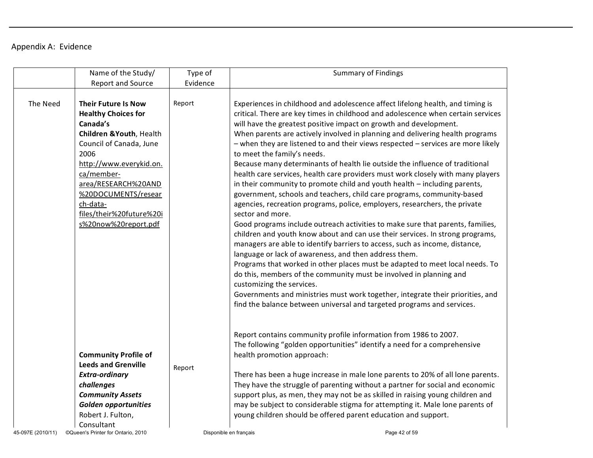## Appendix A: Evidence

|                   | Name of the Study/                                                                                                                                                                                                                                                                         | Type of                | <b>Summary of Findings</b>                                                                                                                                                                                                                                                                                                                                                                                                                                                                                                                                                                                                                                                                                                                                                                                                                                                                                                                                                                                                                                                                                                                                                                                                                                                                                                                                                                                                                                                                                                        |
|-------------------|--------------------------------------------------------------------------------------------------------------------------------------------------------------------------------------------------------------------------------------------------------------------------------------------|------------------------|-----------------------------------------------------------------------------------------------------------------------------------------------------------------------------------------------------------------------------------------------------------------------------------------------------------------------------------------------------------------------------------------------------------------------------------------------------------------------------------------------------------------------------------------------------------------------------------------------------------------------------------------------------------------------------------------------------------------------------------------------------------------------------------------------------------------------------------------------------------------------------------------------------------------------------------------------------------------------------------------------------------------------------------------------------------------------------------------------------------------------------------------------------------------------------------------------------------------------------------------------------------------------------------------------------------------------------------------------------------------------------------------------------------------------------------------------------------------------------------------------------------------------------------|
|                   | <b>Report and Source</b>                                                                                                                                                                                                                                                                   | Evidence               |                                                                                                                                                                                                                                                                                                                                                                                                                                                                                                                                                                                                                                                                                                                                                                                                                                                                                                                                                                                                                                                                                                                                                                                                                                                                                                                                                                                                                                                                                                                                   |
| The Need          | <b>Their Future Is Now</b><br><b>Healthy Choices for</b><br>Canada's<br>Children & Youth, Health<br>Council of Canada, June<br>2006<br>http://www.everykid.on.<br>ca/member-<br>area/RESEARCH%20AND<br>%20DOCUMENTS/resear<br>ch-data-<br>files/their%20future%20i<br>s%20now%20report.pdf | Report                 | Experiences in childhood and adolescence affect lifelong health, and timing is<br>critical. There are key times in childhood and adolescence when certain services<br>will have the greatest positive impact on growth and development.<br>When parents are actively involved in planning and delivering health programs<br>- when they are listened to and their views respected - services are more likely<br>to meet the family's needs.<br>Because many determinants of health lie outside the influence of traditional<br>health care services, health care providers must work closely with many players<br>in their community to promote child and youth health - including parents,<br>government, schools and teachers, child care programs, community-based<br>agencies, recreation programs, police, employers, researchers, the private<br>sector and more.<br>Good programs include outreach activities to make sure that parents, families,<br>children and youth know about and can use their services. In strong programs,<br>managers are able to identify barriers to access, such as income, distance,<br>language or lack of awareness, and then address them.<br>Programs that worked in other places must be adapted to meet local needs. To<br>do this, members of the community must be involved in planning and<br>customizing the services.<br>Governments and ministries must work together, integrate their priorities, and<br>find the balance between universal and targeted programs and services. |
|                   | <b>Community Profile of</b><br><b>Leeds and Grenville</b><br>Extra-ordinary<br>challenges<br><b>Community Assets</b><br><b>Golden opportunities</b><br>Robert J. Fulton,<br>Consultant                                                                                                     | Report                 | Report contains community profile information from 1986 to 2007.<br>The following "golden opportunities" identify a need for a comprehensive<br>health promotion approach:<br>There has been a huge increase in male lone parents to 20% of all lone parents.<br>They have the struggle of parenting without a partner for social and economic<br>support plus, as men, they may not be as skilled in raising young children and<br>may be subject to considerable stigma for attempting it. Male lone parents of<br>young children should be offered parent education and support.                                                                                                                                                                                                                                                                                                                                                                                                                                                                                                                                                                                                                                                                                                                                                                                                                                                                                                                                               |
| 45-097E (2010/11) | ©Queen's Printer for Ontario, 2010                                                                                                                                                                                                                                                         | Disponible en français | Page 42 of 59                                                                                                                                                                                                                                                                                                                                                                                                                                                                                                                                                                                                                                                                                                                                                                                                                                                                                                                                                                                                                                                                                                                                                                                                                                                                                                                                                                                                                                                                                                                     |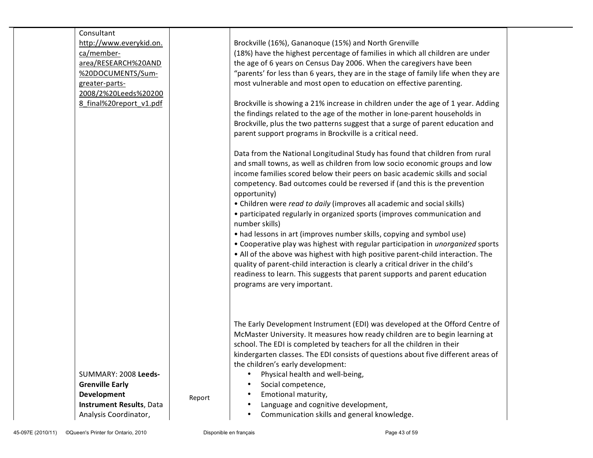| Consultant               |        |                                                                                        |  |
|--------------------------|--------|----------------------------------------------------------------------------------------|--|
| http://www.everykid.on.  |        | Brockville (16%), Gananoque (15%) and North Grenville                                  |  |
| ca/member-               |        | (18%) have the highest percentage of families in which all children are under          |  |
| area/RESEARCH%20AND      |        | the age of 6 years on Census Day 2006. When the caregivers have been                   |  |
| %20DOCUMENTS/Sum-        |        | "parents' for less than 6 years, they are in the stage of family life when they are    |  |
| greater-parts-           |        | most vulnerable and most open to education on effective parenting.                     |  |
| 2008/2%20Leeds%20200     |        |                                                                                        |  |
| 8 final%20report v1.pdf  |        | Brockville is showing a 21% increase in children under the age of 1 year. Adding       |  |
|                          |        | the findings related to the age of the mother in lone-parent households in             |  |
|                          |        | Brockville, plus the two patterns suggest that a surge of parent education and         |  |
|                          |        | parent support programs in Brockville is a critical need.                              |  |
|                          |        |                                                                                        |  |
|                          |        | Data from the National Longitudinal Study has found that children from rural           |  |
|                          |        | and small towns, as well as children from low socio economic groups and low            |  |
|                          |        | income families scored below their peers on basic academic skills and social           |  |
|                          |        | competency. Bad outcomes could be reversed if (and this is the prevention              |  |
|                          |        | opportunity)                                                                           |  |
|                          |        | • Children were read to daily (improves all academic and social skills)                |  |
|                          |        | • participated regularly in organized sports (improves communication and               |  |
|                          |        | number skills)                                                                         |  |
|                          |        | • had lessons in art (improves number skills, copying and symbol use)                  |  |
|                          |        | • Cooperative play was highest with regular participation in <i>unorganized</i> sports |  |
|                          |        | • All of the above was highest with high positive parent-child interaction. The        |  |
|                          |        | quality of parent-child interaction is clearly a critical driver in the child's        |  |
|                          |        | readiness to learn. This suggests that parent supports and parent education            |  |
|                          |        | programs are very important.                                                           |  |
|                          |        |                                                                                        |  |
|                          |        |                                                                                        |  |
|                          |        |                                                                                        |  |
|                          |        | The Early Development Instrument (EDI) was developed at the Offord Centre of           |  |
|                          |        | McMaster University. It measures how ready children are to begin learning at           |  |
|                          |        | school. The EDI is completed by teachers for all the children in their                 |  |
|                          |        |                                                                                        |  |
|                          |        | kindergarten classes. The EDI consists of questions about five different areas of      |  |
| SUMMARY: 2008 Leeds-     |        | the children's early development:<br>$\bullet$                                         |  |
| <b>Grenville Early</b>   |        | Physical health and well-being,                                                        |  |
|                          |        | Social competence,<br>Emotional maturity,                                              |  |
| Development              | Report |                                                                                        |  |
| Instrument Results, Data |        | Language and cognitive development,                                                    |  |
| Analysis Coordinator,    |        | Communication skills and general knowledge.<br>$\bullet$                               |  |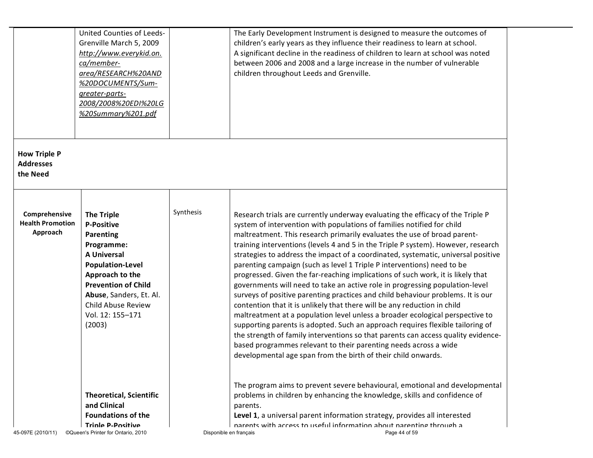|                                                      | United Counties of Leeds-<br>Grenville March 5, 2009<br>http://www.everykid.on.<br>ca/member-<br>area/RESEARCH%20AND<br>%20DOCUMENTS/Sum-<br>greater-parts-<br>2008/2008%20EDI%20LG<br>%20Summary%201.pdf                                                 |                        | The Early Development Instrument is designed to measure the outcomes of<br>children's early years as they influence their readiness to learn at school.<br>A significant decline in the readiness of children to learn at school was noted<br>between 2006 and 2008 and a large increase in the number of vulnerable<br>children throughout Leeds and Grenville.                                                                                                                                                                                                                                                                                                                                                                                                                                                                                                                                                                                                                                                                                                                                                                                                                                                        |
|------------------------------------------------------|-----------------------------------------------------------------------------------------------------------------------------------------------------------------------------------------------------------------------------------------------------------|------------------------|-------------------------------------------------------------------------------------------------------------------------------------------------------------------------------------------------------------------------------------------------------------------------------------------------------------------------------------------------------------------------------------------------------------------------------------------------------------------------------------------------------------------------------------------------------------------------------------------------------------------------------------------------------------------------------------------------------------------------------------------------------------------------------------------------------------------------------------------------------------------------------------------------------------------------------------------------------------------------------------------------------------------------------------------------------------------------------------------------------------------------------------------------------------------------------------------------------------------------|
| <b>How Triple P</b><br><b>Addresses</b><br>the Need  |                                                                                                                                                                                                                                                           |                        |                                                                                                                                                                                                                                                                                                                                                                                                                                                                                                                                                                                                                                                                                                                                                                                                                                                                                                                                                                                                                                                                                                                                                                                                                         |
| Comprehensive<br><b>Health Promotion</b><br>Approach | <b>The Triple</b><br><b>P-Positive</b><br><b>Parenting</b><br>Programme:<br><b>A Universal</b><br><b>Population-Level</b><br>Approach to the<br><b>Prevention of Child</b><br>Abuse, Sanders, Et. Al.<br>Child Abuse Review<br>Vol. 12: 155-171<br>(2003) | Synthesis              | Research trials are currently underway evaluating the efficacy of the Triple P<br>system of intervention with populations of families notified for child<br>maltreatment. This research primarily evaluates the use of broad parent-<br>training interventions (levels 4 and 5 in the Triple P system). However, research<br>strategies to address the impact of a coordinated, systematic, universal positive<br>parenting campaign (such as level 1 Triple P interventions) need to be<br>progressed. Given the far-reaching implications of such work, it is likely that<br>governments will need to take an active role in progressing population-level<br>surveys of positive parenting practices and child behaviour problems. It is our<br>contention that it is unlikely that there will be any reduction in child<br>maltreatment at a population level unless a broader ecological perspective to<br>supporting parents is adopted. Such an approach requires flexible tailoring of<br>the strength of family interventions so that parents can access quality evidence-<br>based programmes relevant to their parenting needs across a wide<br>developmental age span from the birth of their child onwards. |
| 45-097E (2010/11)                                    | <b>Theoretical, Scientific</b><br>and Clinical<br><b>Foundations of the</b><br><b>Triple P-Positive</b><br>©Queen's Printer for Ontario, 2010                                                                                                             | Disponible en français | The program aims to prevent severe behavioural, emotional and developmental<br>problems in children by enhancing the knowledge, skills and confidence of<br>parents.<br>Level 1, a universal parent information strategy, provides all interested<br>parents with access to useful information about parenting through a<br>Page 44 of 59                                                                                                                                                                                                                                                                                                                                                                                                                                                                                                                                                                                                                                                                                                                                                                                                                                                                               |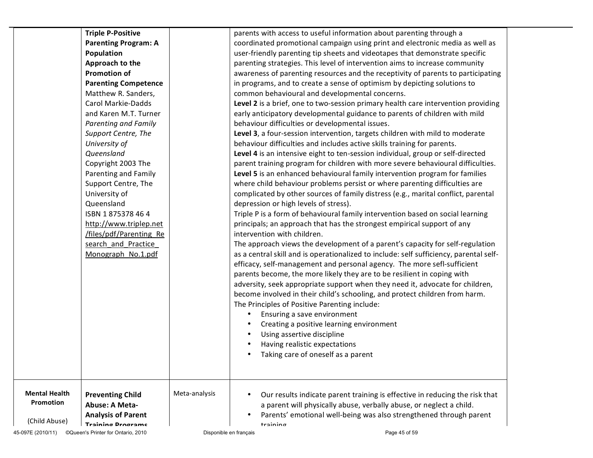| (Child Abuse)<br>45-097E (2010/11) | <b>Training Programs</b><br>©Queen's Printer for Ontario, 2010         | Disponible en français | training<br>Page 45 of 59                                                                                                                                                                                                |
|------------------------------------|------------------------------------------------------------------------|------------------------|--------------------------------------------------------------------------------------------------------------------------------------------------------------------------------------------------------------------------|
| <b>Mental Health</b><br>Promotion  | <b>Preventing Child</b><br>Abuse: A Meta-<br><b>Analysis of Parent</b> | Meta-analysis          | Our results indicate parent training is effective in reducing the risk that<br>a parent will physically abuse, verbally abuse, or neglect a child.<br>Parents' emotional well-being was also strengthened through parent |
|                                    |                                                                        |                        | Having realistic expectations<br>Taking care of oneself as a parent                                                                                                                                                      |
|                                    |                                                                        |                        | Using assertive discipline                                                                                                                                                                                               |
|                                    |                                                                        |                        | Creating a positive learning environment                                                                                                                                                                                 |
|                                    |                                                                        |                        | Ensuring a save environment                                                                                                                                                                                              |
|                                    |                                                                        |                        | The Principles of Positive Parenting include:                                                                                                                                                                            |
|                                    |                                                                        |                        | become involved in their child's schooling, and protect children from harm.                                                                                                                                              |
|                                    |                                                                        |                        | adversity, seek appropriate support when they need it, advocate for children,                                                                                                                                            |
|                                    |                                                                        |                        | parents become, the more likely they are to be resilient in coping with                                                                                                                                                  |
|                                    |                                                                        |                        | efficacy, self-management and personal agency. The more sefl-sufficient                                                                                                                                                  |
|                                    | search_and_Practice<br>Monograph No.1.pdf                              |                        | The approach views the development of a parent's capacity for self-regulation<br>as a central skill and is operationalized to include: self sufficiency, parental self-                                                  |
|                                    | files/pdf/Parenting Re                                                 |                        | intervention with children.                                                                                                                                                                                              |
|                                    | http://www.triplep.net                                                 |                        | principals; an approach that has the strongest empirical support of any                                                                                                                                                  |
|                                    | ISBN 1875378464                                                        |                        | Triple P is a form of behavioural family intervention based on social learning                                                                                                                                           |
|                                    | Queensland                                                             |                        | depression or high levels of stress).                                                                                                                                                                                    |
|                                    | University of                                                          |                        | complicated by other sources of family distress (e.g., marital conflict, parental                                                                                                                                        |
|                                    | Support Centre, The                                                    |                        | where child behaviour problems persist or where parenting difficulties are                                                                                                                                               |
|                                    | Parenting and Family                                                   |                        | Level 5 is an enhanced behavioural family intervention program for families                                                                                                                                              |
|                                    | Copyright 2003 The                                                     |                        | parent training program for children with more severe behavioural difficulties.                                                                                                                                          |
|                                    | Queensland                                                             |                        | Level 4 is an intensive eight to ten-session individual, group or self-directed                                                                                                                                          |
|                                    | University of                                                          |                        | behaviour difficulties and includes active skills training for parents.                                                                                                                                                  |
|                                    | Support Centre, The                                                    |                        | Level 3, a four-session intervention, targets children with mild to moderate                                                                                                                                             |
|                                    | Parenting and Family                                                   |                        | behaviour difficulties or developmental issues.                                                                                                                                                                          |
|                                    | and Karen M.T. Turner                                                  |                        | early anticipatory developmental guidance to parents of children with mild                                                                                                                                               |
|                                    | Carol Markie-Dadds                                                     |                        | Level 2 is a brief, one to two-session primary health care intervention providing                                                                                                                                        |
|                                    | Matthew R. Sanders,                                                    |                        | common behavioural and developmental concerns.                                                                                                                                                                           |
|                                    | <b>Parenting Competence</b>                                            |                        | in programs, and to create a sense of optimism by depicting solutions to                                                                                                                                                 |
|                                    | <b>Promotion of</b>                                                    |                        | awareness of parenting resources and the receptivity of parents to participating                                                                                                                                         |
|                                    | Approach to the                                                        |                        | parenting strategies. This level of intervention aims to increase community                                                                                                                                              |
|                                    | Population                                                             |                        | user-friendly parenting tip sheets and videotapes that demonstrate specific                                                                                                                                              |
|                                    | <b>Parenting Program: A</b>                                            |                        | coordinated promotional campaign using print and electronic media as well as                                                                                                                                             |
|                                    | <b>Triple P-Positive</b>                                               |                        | parents with access to useful information about parenting through a                                                                                                                                                      |
|                                    |                                                                        |                        |                                                                                                                                                                                                                          |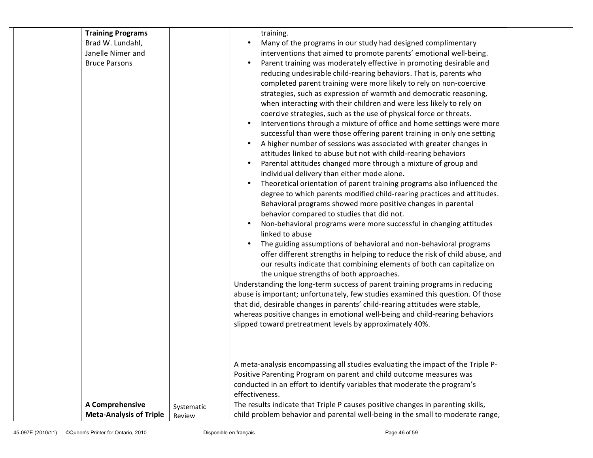| <b>Training Programs</b>       |            | training.                                                                       |  |
|--------------------------------|------------|---------------------------------------------------------------------------------|--|
| Brad W. Lundahl,               |            | Many of the programs in our study had designed complimentary                    |  |
| Janelle Nimer and              |            | interventions that aimed to promote parents' emotional well-being.              |  |
| <b>Bruce Parsons</b>           |            | Parent training was moderately effective in promoting desirable and             |  |
|                                |            | reducing undesirable child-rearing behaviors. That is, parents who              |  |
|                                |            | completed parent training were more likely to rely on non-coercive              |  |
|                                |            | strategies, such as expression of warmth and democratic reasoning,              |  |
|                                |            | when interacting with their children and were less likely to rely on            |  |
|                                |            | coercive strategies, such as the use of physical force or threats.              |  |
|                                |            | Interventions through a mixture of office and home settings were more           |  |
|                                |            | successful than were those offering parent training in only one setting         |  |
|                                |            | A higher number of sessions was associated with greater changes in              |  |
|                                |            | attitudes linked to abuse but not with child-rearing behaviors                  |  |
|                                |            | Parental attitudes changed more through a mixture of group and                  |  |
|                                |            | individual delivery than either mode alone.                                     |  |
|                                |            | Theoretical orientation of parent training programs also influenced the         |  |
|                                |            | degree to which parents modified child-rearing practices and attitudes.         |  |
|                                |            | Behavioral programs showed more positive changes in parental                    |  |
|                                |            | behavior compared to studies that did not.                                      |  |
|                                |            | Non-behavioral programs were more successful in changing attitudes              |  |
|                                |            | linked to abuse                                                                 |  |
|                                |            | The guiding assumptions of behavioral and non-behavioral programs               |  |
|                                |            | offer different strengths in helping to reduce the risk of child abuse, and     |  |
|                                |            | our results indicate that combining elements of both can capitalize on          |  |
|                                |            | the unique strengths of both approaches.                                        |  |
|                                |            | Understanding the long-term success of parent training programs in reducing     |  |
|                                |            | abuse is important; unfortunately, few studies examined this question. Of those |  |
|                                |            | that did, desirable changes in parents' child-rearing attitudes were stable,    |  |
|                                |            | whereas positive changes in emotional well-being and child-rearing behaviors    |  |
|                                |            | slipped toward pretreatment levels by approximately 40%.                        |  |
|                                |            |                                                                                 |  |
|                                |            |                                                                                 |  |
|                                |            |                                                                                 |  |
|                                |            | A meta-analysis encompassing all studies evaluating the impact of the Triple P- |  |
|                                |            | Positive Parenting Program on parent and child outcome measures was             |  |
|                                |            | conducted in an effort to identify variables that moderate the program's        |  |
|                                |            | effectiveness.                                                                  |  |
| A Comprehensive                | Systematic | The results indicate that Triple P causes positive changes in parenting skills, |  |
| <b>Meta-Analysis of Triple</b> | Review     | child problem behavior and parental well-being in the small to moderate range,  |  |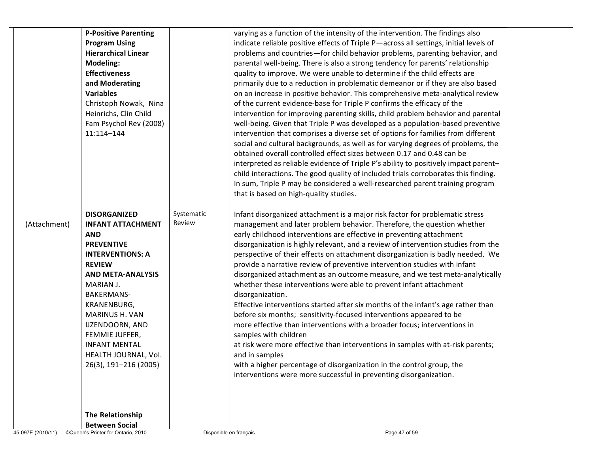|                   | <b>P-Positive Parenting</b><br><b>Program Using</b><br><b>Hierarchical Linear</b><br><b>Modeling:</b><br><b>Effectiveness</b><br>and Moderating<br><b>Variables</b><br>Christoph Nowak, Nina<br>Heinrichs, Clin Child<br>Fam Psychol Rev (2008)<br>11:114-144                                                                               |                        | varying as a function of the intensity of the intervention. The findings also<br>indicate reliable positive effects of Triple P-across all settings, initial levels of<br>problems and countries—for child behavior problems, parenting behavior, and<br>parental well-being. There is also a strong tendency for parents' relationship<br>quality to improve. We were unable to determine if the child effects are<br>primarily due to a reduction in problematic demeanor or if they are also based<br>on an increase in positive behavior. This comprehensive meta-analytical review<br>of the current evidence-base for Triple P confirms the efficacy of the<br>intervention for improving parenting skills, child problem behavior and parental<br>well-being. Given that Triple P was developed as a population-based preventive<br>intervention that comprises a diverse set of options for families from different<br>social and cultural backgrounds, as well as for varying degrees of problems, the<br>obtained overall controlled effect sizes between 0.17 and 0.48 can be<br>interpreted as reliable evidence of Triple P's ability to positively impact parent-<br>child interactions. The good quality of included trials corroborates this finding.<br>In sum, Triple P may be considered a well-researched parent training program<br>that is based on high-quality studies. |
|-------------------|---------------------------------------------------------------------------------------------------------------------------------------------------------------------------------------------------------------------------------------------------------------------------------------------------------------------------------------------|------------------------|-------------------------------------------------------------------------------------------------------------------------------------------------------------------------------------------------------------------------------------------------------------------------------------------------------------------------------------------------------------------------------------------------------------------------------------------------------------------------------------------------------------------------------------------------------------------------------------------------------------------------------------------------------------------------------------------------------------------------------------------------------------------------------------------------------------------------------------------------------------------------------------------------------------------------------------------------------------------------------------------------------------------------------------------------------------------------------------------------------------------------------------------------------------------------------------------------------------------------------------------------------------------------------------------------------------------------------------------------------------------------------------------------|
| (Attachment)      | <b>DISORGANIZED</b><br><b>INFANT ATTACHMENT</b><br><b>AND</b><br><b>PREVENTIVE</b><br><b>INTERVENTIONS: A</b><br><b>REVIEW</b><br><b>AND META-ANALYSIS</b><br>MARIAN J.<br>BAKERMANS-<br>KRANENBURG,<br><b>MARINUS H. VAN</b><br>IJZENDOORN, AND<br>FEMMIE JUFFER,<br><b>INFANT MENTAL</b><br>HEALTH JOURNAL, Vol.<br>26(3), 191-216 (2005) | Systematic<br>Review   | Infant disorganized attachment is a major risk factor for problematic stress<br>management and later problem behavior. Therefore, the question whether<br>early childhood interventions are effective in preventing attachment<br>disorganization is highly relevant, and a review of intervention studies from the<br>perspective of their effects on attachment disorganization is badly needed. We<br>provide a narrative review of preventive intervention studies with infant<br>disorganized attachment as an outcome measure, and we test meta-analytically<br>whether these interventions were able to prevent infant attachment<br>disorganization.<br>Effective interventions started after six months of the infant's age rather than<br>before six months; sensitivity-focused interventions appeared to be<br>more effective than interventions with a broader focus; interventions in<br>samples with children<br>at risk were more effective than interventions in samples with at-risk parents;<br>and in samples<br>with a higher percentage of disorganization in the control group, the<br>interventions were more successful in preventing disorganization.                                                                                                                                                                                                                 |
| 45-097E (2010/11) | The Relationship<br><b>Between Social</b><br>©Queen's Printer for Ontario, 2010                                                                                                                                                                                                                                                             | Disponible en français | Page 47 of 59                                                                                                                                                                                                                                                                                                                                                                                                                                                                                                                                                                                                                                                                                                                                                                                                                                                                                                                                                                                                                                                                                                                                                                                                                                                                                                                                                                                   |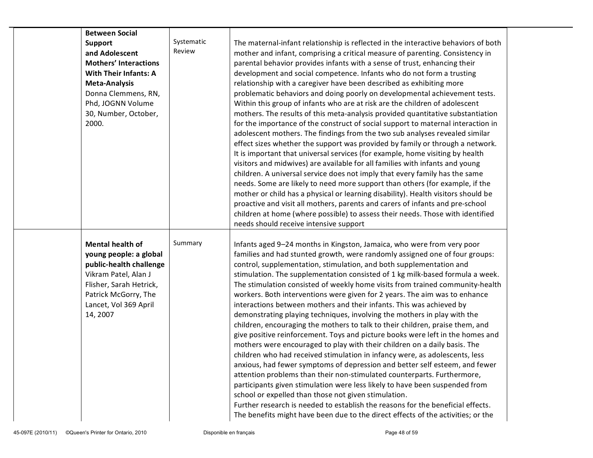| <b>Between Social</b><br><b>Support</b><br>and Adolescent<br><b>Mothers' Interactions</b><br><b>With Their Infants: A</b>                                                                    | Systematic<br>Review | The maternal-infant relationship is reflected in the interactive behaviors of both<br>mother and infant, comprising a critical measure of parenting. Consistency in<br>parental behavior provides infants with a sense of trust, enhancing their<br>development and social competence. Infants who do not form a trusting                                                                                                                                                                                                                                                                                                                                                                                                                                                                                                                                                                                                                                                                                                                                                                                                                                                                                                                                                                                                                                                                                                               |
|----------------------------------------------------------------------------------------------------------------------------------------------------------------------------------------------|----------------------|-----------------------------------------------------------------------------------------------------------------------------------------------------------------------------------------------------------------------------------------------------------------------------------------------------------------------------------------------------------------------------------------------------------------------------------------------------------------------------------------------------------------------------------------------------------------------------------------------------------------------------------------------------------------------------------------------------------------------------------------------------------------------------------------------------------------------------------------------------------------------------------------------------------------------------------------------------------------------------------------------------------------------------------------------------------------------------------------------------------------------------------------------------------------------------------------------------------------------------------------------------------------------------------------------------------------------------------------------------------------------------------------------------------------------------------------|
| Meta-Analysis<br>Donna Clemmens, RN,<br>Phd, JOGNN Volume<br>30, Number, October,<br>2000.                                                                                                   |                      | relationship with a caregiver have been described as exhibiting more<br>problematic behaviors and doing poorly on developmental achievement tests.<br>Within this group of infants who are at risk are the children of adolescent<br>mothers. The results of this meta-analysis provided quantitative substantiation<br>for the importance of the construct of social support to maternal interaction in<br>adolescent mothers. The findings from the two sub analyses revealed similar<br>effect sizes whether the support was provided by family or through a network.<br>It is important that universal services (for example, home visiting by health<br>visitors and midwives) are available for all families with infants and young<br>children. A universal service does not imply that every family has the same<br>needs. Some are likely to need more support than others (for example, if the<br>mother or child has a physical or learning disability). Health visitors should be<br>proactive and visit all mothers, parents and carers of infants and pre-school<br>children at home (where possible) to assess their needs. Those with identified<br>needs should receive intensive support                                                                                                                                                                                                                              |
| <b>Mental health of</b><br>young people: a global<br>public-health challenge<br>Vikram Patel, Alan J<br>Flisher, Sarah Hetrick,<br>Patrick McGorry, The<br>Lancet, Vol 369 April<br>14, 2007 | Summary              | Infants aged 9-24 months in Kingston, Jamaica, who were from very poor<br>families and had stunted growth, were randomly assigned one of four groups:<br>control, supplementation, stimulation, and both supplementation and<br>stimulation. The supplementation consisted of 1 kg milk-based formula a week.<br>The stimulation consisted of weekly home visits from trained community-health<br>workers. Both interventions were given for 2 years. The aim was to enhance<br>interactions between mothers and their infants. This was achieved by<br>demonstrating playing techniques, involving the mothers in play with the<br>children, encouraging the mothers to talk to their children, praise them, and<br>give positive reinforcement. Toys and picture books were left in the homes and<br>mothers were encouraged to play with their children on a daily basis. The<br>children who had received stimulation in infancy were, as adolescents, less<br>anxious, had fewer symptoms of depression and better self esteem, and fewer<br>attention problems than their non-stimulated counterparts. Furthermore,<br>participants given stimulation were less likely to have been suspended from<br>school or expelled than those not given stimulation.<br>Further research is needed to establish the reasons for the beneficial effects.<br>The benefits might have been due to the direct effects of the activities; or the |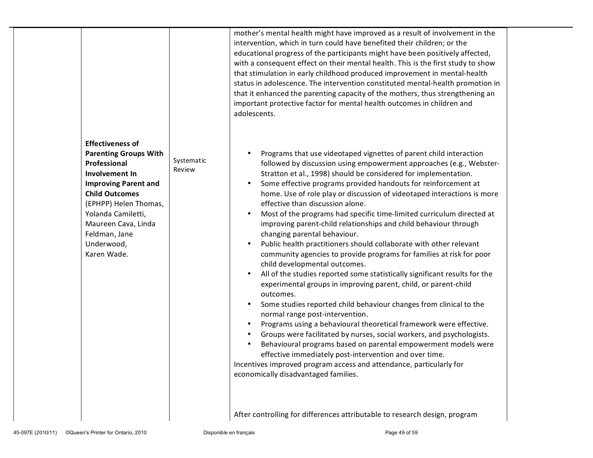| <b>Effectiveness of</b>                                                                                                                                                                                                                    |                      | mother's mental health might have improved as a result of involvement in the<br>intervention, which in turn could have benefited their children; or the<br>educational progress of the participants might have been positively affected,<br>with a consequent effect on their mental health. This is the first study to show<br>that stimulation in early childhood produced improvement in mental-health<br>status in adolescence. The intervention constituted mental-health promotion in<br>that it enhanced the parenting capacity of the mothers, thus strengthening an<br>important protective factor for mental health outcomes in children and<br>adolescents.                                                                                                                                                                                                                                                                                                                                                                                                                                                                                                                                                                                                                                                                                                                                                                                                                                                          |
|--------------------------------------------------------------------------------------------------------------------------------------------------------------------------------------------------------------------------------------------|----------------------|---------------------------------------------------------------------------------------------------------------------------------------------------------------------------------------------------------------------------------------------------------------------------------------------------------------------------------------------------------------------------------------------------------------------------------------------------------------------------------------------------------------------------------------------------------------------------------------------------------------------------------------------------------------------------------------------------------------------------------------------------------------------------------------------------------------------------------------------------------------------------------------------------------------------------------------------------------------------------------------------------------------------------------------------------------------------------------------------------------------------------------------------------------------------------------------------------------------------------------------------------------------------------------------------------------------------------------------------------------------------------------------------------------------------------------------------------------------------------------------------------------------------------------|
| <b>Parenting Groups With</b><br>Professional<br>Involvement In<br><b>Improving Parent and</b><br><b>Child Outcomes</b><br>(EPHPP) Helen Thomas,<br>Yolanda Camiletti,<br>Maureen Cava, Linda<br>Feldman, Jane<br>Underwood,<br>Karen Wade. | Systematic<br>Review | Programs that use videotaped vignettes of parent child interaction<br>٠<br>followed by discussion using empowerment approaches (e.g., Webster-<br>Stratton et al., 1998) should be considered for implementation.<br>Some effective programs provided handouts for reinforcement at<br>$\bullet$<br>home. Use of role play or discussion of videotaped interactions is more<br>effective than discussion alone.<br>Most of the programs had specific time-limited curriculum directed at<br>$\bullet$<br>improving parent-child relationships and child behaviour through<br>changing parental behaviour.<br>Public health practitioners should collaborate with other relevant<br>$\bullet$<br>community agencies to provide programs for families at risk for poor<br>child developmental outcomes.<br>All of the studies reported some statistically significant results for the<br>$\bullet$<br>experimental groups in improving parent, child, or parent-child<br>outcomes.<br>Some studies reported child behaviour changes from clinical to the<br>$\bullet$<br>normal range post-intervention.<br>Programs using a behavioural theoretical framework were effective.<br>$\bullet$<br>Groups were facilitated by nurses, social workers, and psychologists.<br>$\bullet$<br>Behavioural programs based on parental empowerment models were<br>٠<br>effective immediately post-intervention and over time.<br>Incentives improved program access and attendance, particularly for<br>economically disadvantaged families. |
|                                                                                                                                                                                                                                            |                      | After controlling for differences attributable to research design, program                                                                                                                                                                                                                                                                                                                                                                                                                                                                                                                                                                                                                                                                                                                                                                                                                                                                                                                                                                                                                                                                                                                                                                                                                                                                                                                                                                                                                                                      |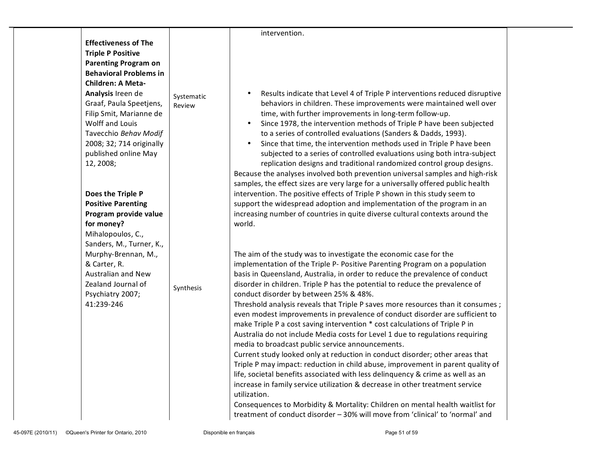|                                                                                                                                                                                                                                                                                                                                             |                      | intervention.                                                                                                                                                                                                                                                                                                                                                                                                                                                                                                                                                                                                                                                                                                                                                                                                                                                                                                                                                                                                                                                                                                                                                                                                                                                                                                                                                                                                                                |  |
|---------------------------------------------------------------------------------------------------------------------------------------------------------------------------------------------------------------------------------------------------------------------------------------------------------------------------------------------|----------------------|----------------------------------------------------------------------------------------------------------------------------------------------------------------------------------------------------------------------------------------------------------------------------------------------------------------------------------------------------------------------------------------------------------------------------------------------------------------------------------------------------------------------------------------------------------------------------------------------------------------------------------------------------------------------------------------------------------------------------------------------------------------------------------------------------------------------------------------------------------------------------------------------------------------------------------------------------------------------------------------------------------------------------------------------------------------------------------------------------------------------------------------------------------------------------------------------------------------------------------------------------------------------------------------------------------------------------------------------------------------------------------------------------------------------------------------------|--|
| <b>Effectiveness of The</b><br><b>Triple P Positive</b><br><b>Parenting Program on</b><br><b>Behavioral Problems in</b><br><b>Children: A Meta-</b><br>Analysis Ireen de<br>Graaf, Paula Speetjens,<br>Filip Smit, Marianne de<br>Wolff and Louis<br>Tavecchio Behav Modif<br>2008; 32; 714 originally<br>published online May<br>12, 2008; | Systematic<br>Review | Results indicate that Level 4 of Triple P interventions reduced disruptive<br>behaviors in children. These improvements were maintained well over<br>time, with further improvements in long-term follow-up.<br>Since 1978, the intervention methods of Triple P have been subjected<br>to a series of controlled evaluations (Sanders & Dadds, 1993).<br>Since that time, the intervention methods used in Triple P have been<br>subjected to a series of controlled evaluations using both intra-subject<br>replication designs and traditional randomized control group designs.<br>Because the analyses involved both prevention universal samples and high-risk                                                                                                                                                                                                                                                                                                                                                                                                                                                                                                                                                                                                                                                                                                                                                                         |  |
| Does the Triple P<br><b>Positive Parenting</b><br>Program provide value<br>for money?<br>Mihalopoulos, C.,<br>Sanders, M., Turner, K.,<br>Murphy-Brennan, M.,<br>& Carter, R.<br>Australian and New<br>Zealand Journal of<br>Psychiatry 2007;<br>41:239-246                                                                                 | Synthesis            | samples, the effect sizes are very large for a universally offered public health<br>intervention. The positive effects of Triple P shown in this study seem to<br>support the widespread adoption and implementation of the program in an<br>increasing number of countries in quite diverse cultural contexts around the<br>world.<br>The aim of the study was to investigate the economic case for the<br>implementation of the Triple P- Positive Parenting Program on a population<br>basis in Queensland, Australia, in order to reduce the prevalence of conduct<br>disorder in children. Triple P has the potential to reduce the prevalence of<br>conduct disorder by between 25% & 48%.<br>Threshold analysis reveals that Triple P saves more resources than it consumes;<br>even modest improvements in prevalence of conduct disorder are sufficient to<br>make Triple P a cost saving intervention * cost calculations of Triple P in<br>Australia do not include Media costs for Level 1 due to regulations requiring<br>media to broadcast public service announcements.<br>Current study looked only at reduction in conduct disorder; other areas that<br>Triple P may impact: reduction in child abuse, improvement in parent quality of<br>life, societal benefits associated with less delinquency & crime as well as an<br>increase in family service utilization & decrease in other treatment service<br>utilization. |  |
|                                                                                                                                                                                                                                                                                                                                             |                      | Consequences to Morbidity & Mortality: Children on mental health waitlist for<br>treatment of conduct disorder - 30% will move from 'clinical' to 'normal' and                                                                                                                                                                                                                                                                                                                                                                                                                                                                                                                                                                                                                                                                                                                                                                                                                                                                                                                                                                                                                                                                                                                                                                                                                                                                               |  |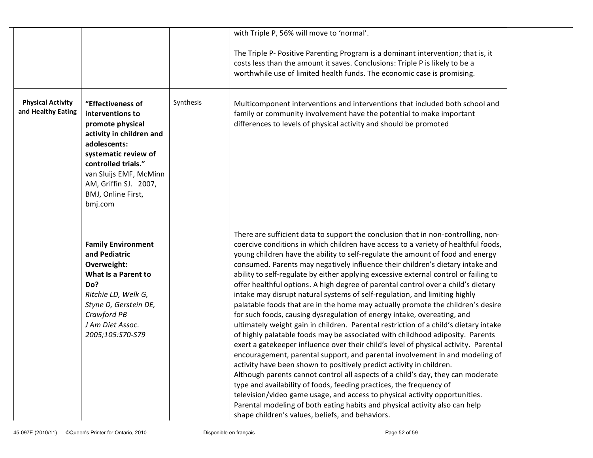|                                                |                                                                                                                                                                                                                                          |           | with Triple P, 56% will move to 'normal'.                                                                                                                                                                                                                                                                                                                                                                                                                                                                                                                                                                                                                                                                                                                                                                                                                                                                                                                                                                                                                                                                                                                                                                                                                                                                                                                                                                                                                                                                                                                                 |
|------------------------------------------------|------------------------------------------------------------------------------------------------------------------------------------------------------------------------------------------------------------------------------------------|-----------|---------------------------------------------------------------------------------------------------------------------------------------------------------------------------------------------------------------------------------------------------------------------------------------------------------------------------------------------------------------------------------------------------------------------------------------------------------------------------------------------------------------------------------------------------------------------------------------------------------------------------------------------------------------------------------------------------------------------------------------------------------------------------------------------------------------------------------------------------------------------------------------------------------------------------------------------------------------------------------------------------------------------------------------------------------------------------------------------------------------------------------------------------------------------------------------------------------------------------------------------------------------------------------------------------------------------------------------------------------------------------------------------------------------------------------------------------------------------------------------------------------------------------------------------------------------------------|
|                                                |                                                                                                                                                                                                                                          |           | The Triple P- Positive Parenting Program is a dominant intervention; that is, it<br>costs less than the amount it saves. Conclusions: Triple P is likely to be a<br>worthwhile use of limited health funds. The economic case is promising.                                                                                                                                                                                                                                                                                                                                                                                                                                                                                                                                                                                                                                                                                                                                                                                                                                                                                                                                                                                                                                                                                                                                                                                                                                                                                                                               |
| <b>Physical Activity</b><br>and Healthy Eating | "Effectiveness of<br>interventions to<br>promote physical<br>activity in children and<br>adolescents:<br>systematic review of<br>controlled trials."<br>van Sluijs EMF, McMinn<br>AM, Griffin SJ. 2007,<br>BMJ, Online First,<br>bmj.com | Synthesis | Multicomponent interventions and interventions that included both school and<br>family or community involvement have the potential to make important<br>differences to levels of physical activity and should be promoted                                                                                                                                                                                                                                                                                                                                                                                                                                                                                                                                                                                                                                                                                                                                                                                                                                                                                                                                                                                                                                                                                                                                                                                                                                                                                                                                                 |
|                                                | <b>Family Environment</b><br>and Pediatric<br>Overweight:<br>What Is a Parent to<br>Do?<br>Ritchie LD, Welk G,<br>Styne D, Gerstein DE,<br>Crawford PB<br>J Am Diet Assoc.<br>2005;105:S70-S79                                           |           | There are sufficient data to support the conclusion that in non-controlling, non-<br>coercive conditions in which children have access to a variety of healthful foods,<br>young children have the ability to self-regulate the amount of food and energy<br>consumed. Parents may negatively influence their children's dietary intake and<br>ability to self-regulate by either applying excessive external control or failing to<br>offer healthful options. A high degree of parental control over a child's dietary<br>intake may disrupt natural systems of self-regulation, and limiting highly<br>palatable foods that are in the home may actually promote the children's desire<br>for such foods, causing dysregulation of energy intake, overeating, and<br>ultimately weight gain in children. Parental restriction of a child's dietary intake<br>of highly palatable foods may be associated with childhood adiposity. Parents<br>exert a gatekeeper influence over their child's level of physical activity. Parental<br>encouragement, parental support, and parental involvement in and modeling of<br>activity have been shown to positively predict activity in children.<br>Although parents cannot control all aspects of a child's day, they can moderate<br>type and availability of foods, feeding practices, the frequency of<br>television/video game usage, and access to physical activity opportunities.<br>Parental modeling of both eating habits and physical activity also can help<br>shape children's values, beliefs, and behaviors. |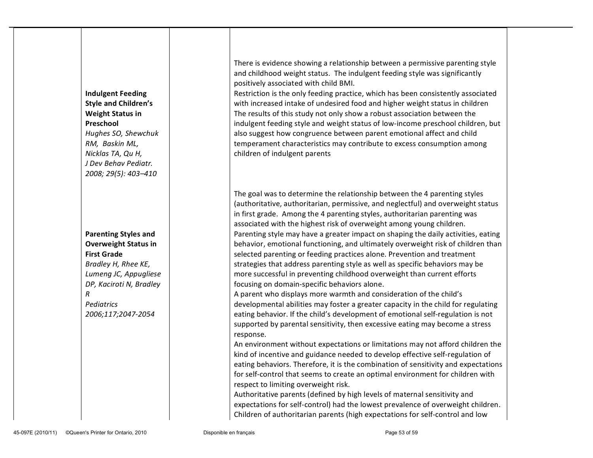| <b>Indulgent Feeding</b><br><b>Style and Children's</b><br><b>Weight Status in</b><br>Preschool<br>Hughes SO, Shewchuk<br>RM, Baskin ML,<br>Nicklas TA, Qu H,<br>J Dev Behav Pediatr.<br>2008; 29(5): 403-410 | There is evidence showing a relationship between a permissive parenting style<br>and childhood weight status. The indulgent feeding style was significantly<br>positively associated with child BMI.<br>Restriction is the only feeding practice, which has been consistently associated<br>with increased intake of undesired food and higher weight status in children<br>The results of this study not only show a robust association between the<br>indulgent feeding style and weight status of low-income preschool children, but<br>also suggest how congruence between parent emotional affect and child<br>temperament characteristics may contribute to excess consumption among<br>children of indulgent parents |
|---------------------------------------------------------------------------------------------------------------------------------------------------------------------------------------------------------------|-----------------------------------------------------------------------------------------------------------------------------------------------------------------------------------------------------------------------------------------------------------------------------------------------------------------------------------------------------------------------------------------------------------------------------------------------------------------------------------------------------------------------------------------------------------------------------------------------------------------------------------------------------------------------------------------------------------------------------|
|                                                                                                                                                                                                               | The goal was to determine the relationship between the 4 parenting styles<br>(authoritative, authoritarian, permissive, and neglectful) and overweight status                                                                                                                                                                                                                                                                                                                                                                                                                                                                                                                                                               |
|                                                                                                                                                                                                               | in first grade. Among the 4 parenting styles, authoritarian parenting was<br>associated with the highest risk of overweight among young children.                                                                                                                                                                                                                                                                                                                                                                                                                                                                                                                                                                           |
| <b>Parenting Styles and</b>                                                                                                                                                                                   | Parenting style may have a greater impact on shaping the daily activities, eating                                                                                                                                                                                                                                                                                                                                                                                                                                                                                                                                                                                                                                           |
| <b>Overweight Status in</b>                                                                                                                                                                                   | behavior, emotional functioning, and ultimately overweight risk of children than                                                                                                                                                                                                                                                                                                                                                                                                                                                                                                                                                                                                                                            |
| <b>First Grade</b>                                                                                                                                                                                            | selected parenting or feeding practices alone. Prevention and treatment                                                                                                                                                                                                                                                                                                                                                                                                                                                                                                                                                                                                                                                     |
| Bradley H, Rhee KE,                                                                                                                                                                                           | strategies that address parenting style as well as specific behaviors may be                                                                                                                                                                                                                                                                                                                                                                                                                                                                                                                                                                                                                                                |
| Lumeng JC, Appugliese                                                                                                                                                                                         | more successful in preventing childhood overweight than current efforts                                                                                                                                                                                                                                                                                                                                                                                                                                                                                                                                                                                                                                                     |
| DP, Kaciroti N, Bradley                                                                                                                                                                                       | focusing on domain-specific behaviors alone.                                                                                                                                                                                                                                                                                                                                                                                                                                                                                                                                                                                                                                                                                |
| R                                                                                                                                                                                                             | A parent who displays more warmth and consideration of the child's                                                                                                                                                                                                                                                                                                                                                                                                                                                                                                                                                                                                                                                          |
| Pediatrics                                                                                                                                                                                                    | developmental abilities may foster a greater capacity in the child for regulating                                                                                                                                                                                                                                                                                                                                                                                                                                                                                                                                                                                                                                           |
| 2006;117;2047-2054                                                                                                                                                                                            | eating behavior. If the child's development of emotional self-regulation is not<br>supported by parental sensitivity, then excessive eating may become a stress<br>response.                                                                                                                                                                                                                                                                                                                                                                                                                                                                                                                                                |
|                                                                                                                                                                                                               | An environment without expectations or limitations may not afford children the                                                                                                                                                                                                                                                                                                                                                                                                                                                                                                                                                                                                                                              |
|                                                                                                                                                                                                               | kind of incentive and guidance needed to develop effective self-regulation of                                                                                                                                                                                                                                                                                                                                                                                                                                                                                                                                                                                                                                               |
|                                                                                                                                                                                                               | eating behaviors. Therefore, it is the combination of sensitivity and expectations                                                                                                                                                                                                                                                                                                                                                                                                                                                                                                                                                                                                                                          |
|                                                                                                                                                                                                               | for self-control that seems to create an optimal environment for children with                                                                                                                                                                                                                                                                                                                                                                                                                                                                                                                                                                                                                                              |
|                                                                                                                                                                                                               | respect to limiting overweight risk.                                                                                                                                                                                                                                                                                                                                                                                                                                                                                                                                                                                                                                                                                        |
|                                                                                                                                                                                                               | Authoritative parents (defined by high levels of maternal sensitivity and                                                                                                                                                                                                                                                                                                                                                                                                                                                                                                                                                                                                                                                   |
|                                                                                                                                                                                                               | expectations for self-control) had the lowest prevalence of overweight children.                                                                                                                                                                                                                                                                                                                                                                                                                                                                                                                                                                                                                                            |

Children of authoritarian parents (high expectations for self-control and low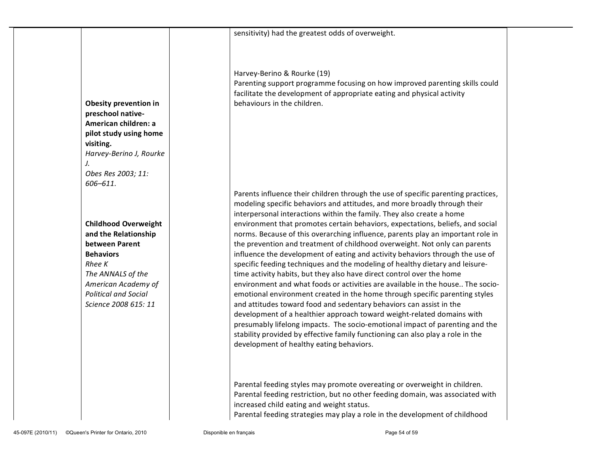|                                            | sensitivity) had the greatest odds of overweight.                                                                                                     |  |
|--------------------------------------------|-------------------------------------------------------------------------------------------------------------------------------------------------------|--|
|                                            |                                                                                                                                                       |  |
|                                            |                                                                                                                                                       |  |
|                                            |                                                                                                                                                       |  |
|                                            | Harvey-Berino & Rourke (19)                                                                                                                           |  |
|                                            | Parenting support programme focusing on how improved parenting skills could                                                                           |  |
|                                            | facilitate the development of appropriate eating and physical activity<br>behaviours in the children.                                                 |  |
| Obesity prevention in<br>preschool native- |                                                                                                                                                       |  |
| American children: a                       |                                                                                                                                                       |  |
| pilot study using home                     |                                                                                                                                                       |  |
| visiting.                                  |                                                                                                                                                       |  |
| Harvey-Berino J, Rourke                    |                                                                                                                                                       |  |
|                                            |                                                                                                                                                       |  |
| Obes Res 2003; 11:                         |                                                                                                                                                       |  |
| 606-611.                                   | Parents influence their children through the use of specific parenting practices,                                                                     |  |
|                                            | modeling specific behaviors and attitudes, and more broadly through their                                                                             |  |
|                                            | interpersonal interactions within the family. They also create a home                                                                                 |  |
| <b>Childhood Overweight</b>                | environment that promotes certain behaviors, expectations, beliefs, and social                                                                        |  |
| and the Relationship                       | norms. Because of this overarching influence, parents play an important role in                                                                       |  |
| between Parent                             | the prevention and treatment of childhood overweight. Not only can parents                                                                            |  |
| <b>Behaviors</b>                           | influence the development of eating and activity behaviors through the use of                                                                         |  |
| Rhee K<br>The ANNALS of the                | specific feeding techniques and the modeling of healthy dietary and leisure-<br>time activity habits, but they also have direct control over the home |  |
| American Academy of                        | environment and what foods or activities are available in the house The socio-                                                                        |  |
| <b>Political and Social</b>                | emotional environment created in the home through specific parenting styles                                                                           |  |
| Science 2008 615: 11                       | and attitudes toward food and sedentary behaviors can assist in the                                                                                   |  |
|                                            | development of a healthier approach toward weight-related domains with                                                                                |  |
|                                            | presumably lifelong impacts. The socio-emotional impact of parenting and the                                                                          |  |
|                                            | stability provided by effective family functioning can also play a role in the                                                                        |  |
|                                            | development of healthy eating behaviors.                                                                                                              |  |
|                                            |                                                                                                                                                       |  |
|                                            |                                                                                                                                                       |  |
|                                            | Parental feeding styles may promote overeating or overweight in children.                                                                             |  |
|                                            | Parental feeding restriction, but no other feeding domain, was associated with                                                                        |  |
|                                            | increased child eating and weight status.                                                                                                             |  |
|                                            | Parental feeding strategies may play a role in the development of childhood                                                                           |  |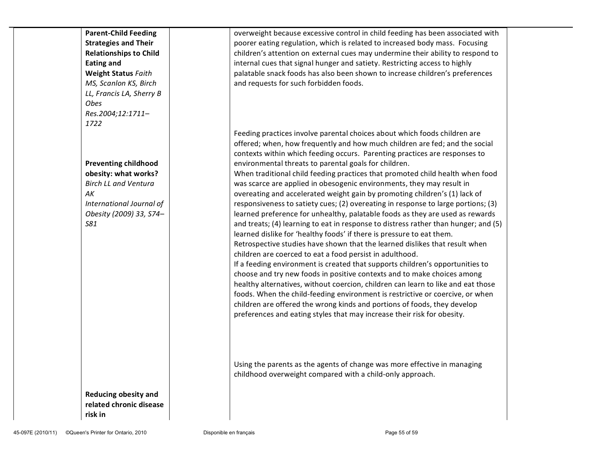| <b>Parent-Child Feeding</b><br><b>Strategies and Their</b><br><b>Relationships to Child</b><br><b>Eating and</b><br><b>Weight Status Faith</b><br>MS, Scanlon KS, Birch | overweight because excessive control in child feeding has been associated with<br>poorer eating regulation, which is related to increased body mass. Focusing<br>children's attention on external cues may undermine their ability to respond to<br>internal cues that signal hunger and satiety. Restricting access to highly<br>palatable snack foods has also been shown to increase children's preferences<br>and requests for such forbidden foods.                                                                                                                                                                                                                                                                                                                                                                                                                                                                                                                                                                                                                                                                                                                                                                                                                                                                                                                                                                            |
|-------------------------------------------------------------------------------------------------------------------------------------------------------------------------|-------------------------------------------------------------------------------------------------------------------------------------------------------------------------------------------------------------------------------------------------------------------------------------------------------------------------------------------------------------------------------------------------------------------------------------------------------------------------------------------------------------------------------------------------------------------------------------------------------------------------------------------------------------------------------------------------------------------------------------------------------------------------------------------------------------------------------------------------------------------------------------------------------------------------------------------------------------------------------------------------------------------------------------------------------------------------------------------------------------------------------------------------------------------------------------------------------------------------------------------------------------------------------------------------------------------------------------------------------------------------------------------------------------------------------------|
| LL, Francis LA, Sherry B<br>Obes<br>Res.2004;12:1711-<br>1722                                                                                                           | Feeding practices involve parental choices about which foods children are                                                                                                                                                                                                                                                                                                                                                                                                                                                                                                                                                                                                                                                                                                                                                                                                                                                                                                                                                                                                                                                                                                                                                                                                                                                                                                                                                           |
| <b>Preventing childhood</b><br>obesity: what works?<br><b>Birch LL and Ventura</b><br>AK<br>International Journal of<br>Obesity (2009) 33, S74-<br><b>S81</b>           | offered; when, how frequently and how much children are fed; and the social<br>contexts within which feeding occurs. Parenting practices are responses to<br>environmental threats to parental goals for children.<br>When traditional child feeding practices that promoted child health when food<br>was scarce are applied in obesogenic environments, they may result in<br>overeating and accelerated weight gain by promoting children's (1) lack of<br>responsiveness to satiety cues; (2) overeating in response to large portions; (3)<br>learned preference for unhealthy, palatable foods as they are used as rewards<br>and treats; (4) learning to eat in response to distress rather than hunger; and (5)<br>learned dislike for 'healthy foods' if there is pressure to eat them.<br>Retrospective studies have shown that the learned dislikes that result when<br>children are coerced to eat a food persist in adulthood.<br>If a feeding environment is created that supports children's opportunities to<br>choose and try new foods in positive contexts and to make choices among<br>healthy alternatives, without coercion, children can learn to like and eat those<br>foods. When the child-feeding environment is restrictive or coercive, or when<br>children are offered the wrong kinds and portions of foods, they develop<br>preferences and eating styles that may increase their risk for obesity. |
| <b>Reducing obesity and</b><br>related chronic disease<br>risk in                                                                                                       | Using the parents as the agents of change was more effective in managing<br>childhood overweight compared with a child-only approach.                                                                                                                                                                                                                                                                                                                                                                                                                                                                                                                                                                                                                                                                                                                                                                                                                                                                                                                                                                                                                                                                                                                                                                                                                                                                                               |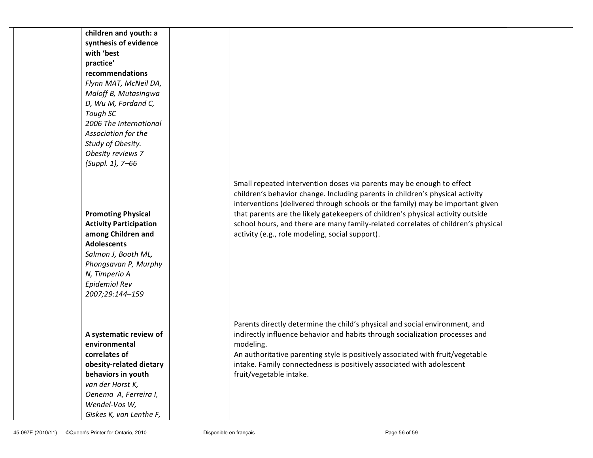| children and youth: a<br>synthesis of evidence<br>with 'best<br>practice'<br>recommendations<br>Flynn MAT, McNeil DA,<br>Maloff B, Mutasingwa<br>D, Wu M, Fordand C,<br>Tough SC<br>2006 The International<br>Association for the<br>Study of Obesity.<br>Obesity reviews 7<br>(Suppl. 1), 7-66 |                                                                                                                                                                                                                                                                                                                                                                                                                                                                     |  |
|-------------------------------------------------------------------------------------------------------------------------------------------------------------------------------------------------------------------------------------------------------------------------------------------------|---------------------------------------------------------------------------------------------------------------------------------------------------------------------------------------------------------------------------------------------------------------------------------------------------------------------------------------------------------------------------------------------------------------------------------------------------------------------|--|
| <b>Promoting Physical</b><br><b>Activity Participation</b><br>among Children and<br><b>Adolescents</b><br>Salmon J, Booth ML,<br>Phongsavan P, Murphy<br>N, Timperio A<br>Epidemiol Rev<br>2007;29:144-159                                                                                      | Small repeated intervention doses via parents may be enough to effect<br>children's behavior change. Including parents in children's physical activity<br>interventions (delivered through schools or the family) may be important given<br>that parents are the likely gatekeepers of children's physical activity outside<br>school hours, and there are many family-related correlates of children's physical<br>activity (e.g., role modeling, social support). |  |
| A systematic review of<br>environmental<br>correlates of<br>obesity-related dietary<br>behaviors in youth<br>van der Horst K,<br>Oenema A, Ferreira I,<br>Wendel-Vos W,<br>Giskes K, van Lenthe F,                                                                                              | Parents directly determine the child's physical and social environment, and<br>indirectly influence behavior and habits through socialization processes and<br>modeling.<br>An authoritative parenting style is positively associated with fruit/vegetable<br>intake. Family connectedness is positively associated with adolescent<br>fruit/vegetable intake.                                                                                                      |  |
| ©Queen's Printer for Ontario, 2010<br>45-097E (2010/11)                                                                                                                                                                                                                                         | Disponible en français<br>Page 56 of 59                                                                                                                                                                                                                                                                                                                                                                                                                             |  |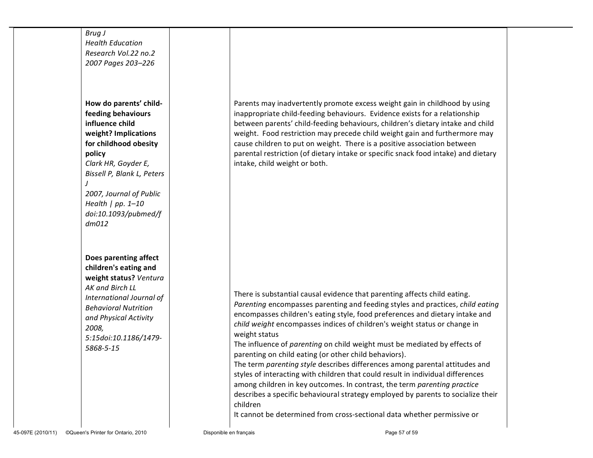| Brug J<br><b>Health Education</b><br>Research Vol.22 no.2<br>2007 Pages 203-226                                                                                                                                                                                    |                                                                                                                                                                                                                                                                                                                                                                                                                                                                                                                                                                                                                                                                                                                                                                                                                                                                                                          |  |
|--------------------------------------------------------------------------------------------------------------------------------------------------------------------------------------------------------------------------------------------------------------------|----------------------------------------------------------------------------------------------------------------------------------------------------------------------------------------------------------------------------------------------------------------------------------------------------------------------------------------------------------------------------------------------------------------------------------------------------------------------------------------------------------------------------------------------------------------------------------------------------------------------------------------------------------------------------------------------------------------------------------------------------------------------------------------------------------------------------------------------------------------------------------------------------------|--|
| How do parents' child-<br>feeding behaviours<br>influence child<br>weight? Implications<br>for childhood obesity<br>policy<br>Clark HR, Goyder E,<br>Bissell P, Blank L, Peters<br>2007, Journal of Public<br>Health $  pp. 1-10$<br>doi:10.1093/pubmed/f<br>dm012 | Parents may inadvertently promote excess weight gain in childhood by using<br>inappropriate child-feeding behaviours. Evidence exists for a relationship<br>between parents' child-feeding behaviours, children's dietary intake and child<br>weight. Food restriction may precede child weight gain and furthermore may<br>cause children to put on weight. There is a positive association between<br>parental restriction (of dietary intake or specific snack food intake) and dietary<br>intake, child weight or both.                                                                                                                                                                                                                                                                                                                                                                              |  |
| Does parenting affect<br>children's eating and<br>weight status? Ventura<br>AK and Birch LL<br>International Journal of<br><b>Behavioral Nutrition</b><br>and Physical Activity<br>2008,<br>5:15doi:10.1186/1479-<br>5868-5-15                                     | There is substantial causal evidence that parenting affects child eating.<br>Parenting encompasses parenting and feeding styles and practices, child eating<br>encompasses children's eating style, food preferences and dietary intake and<br>child weight encompasses indices of children's weight status or change in<br>weight status<br>The influence of parenting on child weight must be mediated by effects of<br>parenting on child eating (or other child behaviors).<br>The term parenting style describes differences among parental attitudes and<br>styles of interacting with children that could result in individual differences<br>among children in key outcomes. In contrast, the term parenting practice<br>describes a specific behavioural strategy employed by parents to socialize their<br>children<br>It cannot be determined from cross-sectional data whether permissive or |  |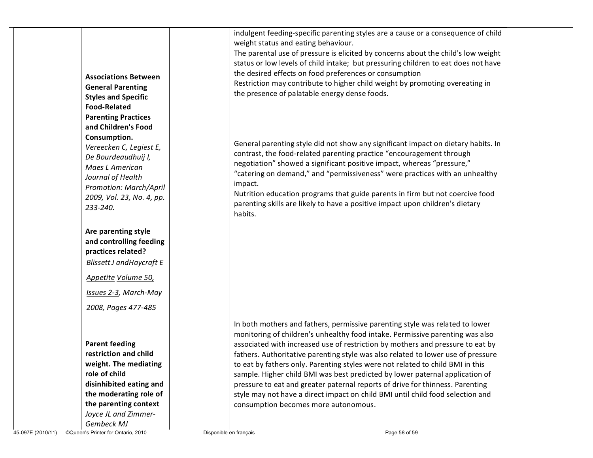|                                                         |                                      | indulgent feeding-specific parenting styles are a cause or a consequence of child  |  |
|---------------------------------------------------------|--------------------------------------|------------------------------------------------------------------------------------|--|
|                                                         | weight status and eating behaviour.  |                                                                                    |  |
|                                                         |                                      | The parental use of pressure is elicited by concerns about the child's low weight  |  |
|                                                         |                                      | status or low levels of child intake; but pressuring children to eat does not have |  |
| <b>Associations Between</b>                             |                                      | the desired effects on food preferences or consumption                             |  |
| <b>General Parenting</b>                                |                                      | Restriction may contribute to higher child weight by promoting overeating in       |  |
| <b>Styles and Specific</b>                              |                                      | the presence of palatable energy dense foods.                                      |  |
| <b>Food-Related</b>                                     |                                      |                                                                                    |  |
| <b>Parenting Practices</b>                              |                                      |                                                                                    |  |
| and Children's Food                                     |                                      |                                                                                    |  |
| Consumption.                                            |                                      |                                                                                    |  |
| Vereecken C, Legiest E,                                 |                                      | General parenting style did not show any significant impact on dietary habits. In  |  |
| De Bourdeaudhuij I,                                     |                                      | contrast, the food-related parenting practice "encouragement through               |  |
| Maes L American                                         |                                      | negotiation" showed a significant positive impact, whereas "pressure,"             |  |
| Journal of Health                                       |                                      | "catering on demand," and "permissiveness" were practices with an unhealthy        |  |
| Promotion: March/April                                  | impact.                              |                                                                                    |  |
| 2009, Vol. 23, No. 4, pp.                               |                                      | Nutrition education programs that guide parents in firm but not coercive food      |  |
| 233-240.                                                |                                      | parenting skills are likely to have a positive impact upon children's dietary      |  |
|                                                         | habits.                              |                                                                                    |  |
| Are parenting style                                     |                                      |                                                                                    |  |
| and controlling feeding                                 |                                      |                                                                                    |  |
| practices related?                                      |                                      |                                                                                    |  |
|                                                         |                                      |                                                                                    |  |
| Blissett J and Haycraft E                               |                                      |                                                                                    |  |
| Appetite Volume 50,                                     |                                      |                                                                                    |  |
| Issues 2-3, March-May                                   |                                      |                                                                                    |  |
| 2008, Pages 477-485                                     |                                      |                                                                                    |  |
|                                                         |                                      | In both mothers and fathers, permissive parenting style was related to lower       |  |
|                                                         |                                      | monitoring of children's unhealthy food intake. Permissive parenting was also      |  |
| <b>Parent feeding</b>                                   |                                      | associated with increased use of restriction by mothers and pressure to eat by     |  |
| restriction and child                                   |                                      | fathers. Authoritative parenting style was also related to lower use of pressure   |  |
| weight. The mediating                                   |                                      | to eat by fathers only. Parenting styles were not related to child BMI in this     |  |
| role of child                                           |                                      | sample. Higher child BMI was best predicted by lower paternal application of       |  |
| disinhibited eating and                                 |                                      | pressure to eat and greater paternal reports of drive for thinness. Parenting      |  |
| the moderating role of                                  |                                      | style may not have a direct impact on child BMI until child food selection and     |  |
| the parenting context                                   | consumption becomes more autonomous. |                                                                                    |  |
| Joyce JL and Zimmer-                                    |                                      |                                                                                    |  |
| Gembeck MJ                                              |                                      |                                                                                    |  |
| ©Queen's Printer for Ontario, 2010<br>45-097E (2010/11) | Disponible en français               | Page 58 of 59                                                                      |  |